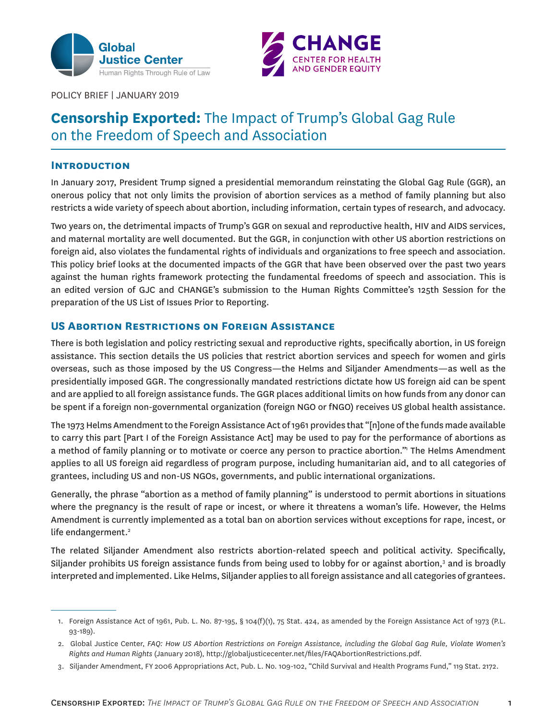



POLICY BRIEF | JANUARY 2019

# **Censorship Exported:** The Impact of Trump's Global Gag Rule on the Freedom of Speech and Association

# **Introduction**

In January 2017, President Trump signed a presidential memorandum reinstating the Global Gag Rule (GGR), an onerous policy that not only limits the provision of abortion services as a method of family planning but also restricts a wide variety of speech about abortion, including information, certain types of research, and advocacy.

Two years on, the detrimental impacts of Trump's GGR on sexual and reproductive health, HIV and AIDS services, and maternal mortality are well documented. But the GGR, in conjunction with other US abortion restrictions on foreign aid, also violates the fundamental rights of individuals and organizations to free speech and association. This policy brief looks at the documented impacts of the GGR that have been observed over the past two years against the human rights framework protecting the fundamental freedoms of speech and association. This is an edited version of GJC and CHANGE's submission to the Human Rights Committee's 125th Session for the preparation of the US List of Issues Prior to Reporting.

# **US Abortion Restrictions on Foreign Assistance**

There is both legislation and policy restricting sexual and reproductive rights, specifically abortion, in US foreign assistance. This section details the US policies that restrict abortion services and speech for women and girls overseas, such as those imposed by the US Congress—the Helms and Siljander Amendments—as well as the presidentially imposed GGR. The congressionally mandated restrictions dictate how US foreign aid can be spent and are applied to all foreign assistance funds. The GGR places additional limits on how funds from any donor can be spent if a foreign non-governmental organization (foreign NGO or fNGO) receives US global health assistance.

The 1973 Helms Amendment to the Foreign Assistance Act of 1961 provides that "[n]one of the funds made available to carry this part [Part I of the Foreign Assistance Act] may be used to pay for the performance of abortions as a method of family planning or to motivate or coerce any person to practice abortion." The Helms Amendment applies to all US foreign aid regardless of program purpose, including humanitarian aid, and to all categories of grantees, including US and non-US NGOs, governments, and public international organizations.

Generally, the phrase "abortion as a method of family planning" is understood to permit abortions in situations where the pregnancy is the result of rape or incest, or where it threatens a woman's life. However, the Helms Amendment is currently implemented as a total ban on abortion services without exceptions for rape, incest, or life endangerment.<sup>2</sup>

The related Siljander Amendment also restricts abortion-related speech and political activity. Specifically, Siljander prohibits US foreign assistance funds from being used to lobby for or against abortion,<sup>3</sup> and is broadly interpreted and implemented. Like Helms, Siljander applies to all foreign assistance and all categories of grantees.

<sup>1.</sup> Foreign Assistance Act of 1961, Pub. L. No. 87-195, § 104(f)(1), 75 Stat. 424, as amended by the Foreign Assistance Act of 1973 (P.L. 93-189).

<sup>2.</sup> Global Justice Center, *FAQ: How US Abortion Restrictions on Foreign Assistance, including the Global Gag Rule, Violate Women's Rights and Human Rights* (January 2018), http://globaljusticecenter.net/files/FAQAbortionRestrictions.pdf.

<sup>3.</sup> Siljander Amendment, FY 2006 Appropriations Act, Pub. L. No. 109-102, "Child Survival and Health Programs Fund," 119 Stat. 2172.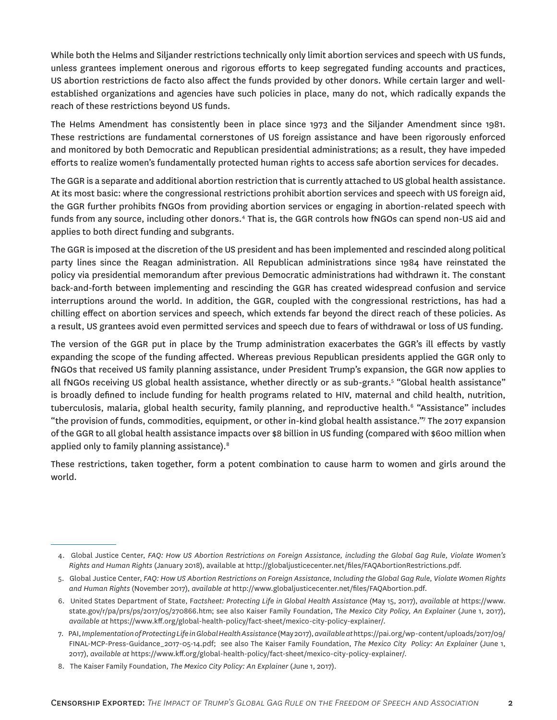While both the Helms and Siljander restrictions technically only limit abortion services and speech with US funds, unless grantees implement onerous and rigorous efforts to keep segregated funding accounts and practices, US abortion restrictions de facto also affect the funds provided by other donors. While certain larger and wellestablished organizations and agencies have such policies in place, many do not, which radically expands the reach of these restrictions beyond US funds.

The Helms Amendment has consistently been in place since 1973 and the Siljander Amendment since 1981. These restrictions are fundamental cornerstones of US foreign assistance and have been rigorously enforced and monitored by both Democratic and Republican presidential administrations; as a result, they have impeded efforts to realize women's fundamentally protected human rights to access safe abortion services for decades.

The GGR is a separate and additional abortion restriction that is currently attached to US global health assistance. At its most basic: where the congressional restrictions prohibit abortion services and speech with US foreign aid, the GGR further prohibits fNGOs from providing abortion services or engaging in abortion-related speech with funds from any source, including other donors.<sup>4</sup> That is, the GGR controls how fNGOs can spend non-US aid and applies to both direct funding and subgrants.

The GGR is imposed at the discretion of the US president and has been implemented and rescinded along political party lines since the Reagan administration. All Republican administrations since 1984 have reinstated the policy via presidential memorandum after previous Democratic administrations had withdrawn it. The constant back-and-forth between implementing and rescinding the GGR has created widespread confusion and service interruptions around the world. In addition, the GGR, coupled with the congressional restrictions, has had a chilling effect on abortion services and speech, which extends far beyond the direct reach of these policies. As a result, US grantees avoid even permitted services and speech due to fears of withdrawal or loss of US funding.

The version of the GGR put in place by the Trump administration exacerbates the GGR's ill effects by vastly expanding the scope of the funding affected. Whereas previous Republican presidents applied the GGR only to fNGOs that received US family planning assistance, under President Trump's expansion, the GGR now applies to all fNGOs receiving US global health assistance, whether directly or as sub-grants.<sup>5</sup> "Global health assistance" is broadly defined to include funding for health programs related to HIV, maternal and child health, nutrition, tuberculosis, malaria, global health security, family planning, and reproductive health.<sup>6</sup> "Assistance" includes "the provision of funds, commodities, equipment, or other in-kind global health assistance."<sup>7</sup> The 2017 expansion of the GGR to all global health assistance impacts over \$8 billion in US funding (compared with \$600 million when applied only to family planning assistance).<sup>8</sup>

These restrictions, taken together, form a potent combination to cause harm to women and girls around the world.

<sup>4.</sup> Global Justice Center, *FAQ: How US Abortion Restrictions on Foreign Assistance, including the Global Gag Rule, Violate Women's Rights and Human Rights* (January 2018), available at http://globaljusticecenter.net/files/FAQAbortionRestrictions.pdf.

<sup>5.</sup> Global Justice Center, *FAQ: How US Abortion Restrictions on Foreign Assistance, Including the Global Gag Rule, Violate Women Rights and Human Rights* (November 2017), *available at* http://www.globaljusticecenter.net/files/FAQAbortion.pdf.

<sup>6.</sup> United States Department of State, F*actsheet: Protecting Life in Global Health Assistance* (May 15, 2017), *available at* [https://www.](https://www.state.gov/r/pa/prs/ps/2017/05/270866.htm) [state.gov/r/pa/prs/ps/2017/05/270866.htm;](https://www.state.gov/r/pa/prs/ps/2017/05/270866.htm) see also Kaiser Family Foundation, T*he Mexico City Policy, An Explainer* (June 1, 2017), *available at* <https://www.kff.org/global-health-policy/fact-sheet/mexico-city-policy-explainer/>.

<sup>7.</sup> PAI, *Implementation of Protecting Life in Global Health Assistance* (May 2017), *available at*[https://pai.org/wp-content/uploads/2017/09/](https://pai.org/wp-content/uploads/2017/09/FINAL-MCP-Press-Guidance_2017-05-14.pdf) [FINAL-MCP-Press-Guidance\\_2017-05-14.pdf;](https://pai.org/wp-content/uploads/2017/09/FINAL-MCP-Press-Guidance_2017-05-14.pdf) see also The Kaiser Family Foundation, *The Mexico City Policy: An Explainer* (June 1, 2017), *available at* [https://www.kff.org/global-health-policy/fact-sheet/mexico-city-policy-explainer/.](https://www.kff.org/global-health-policy/fact-sheet/mexico-city-policy-explainer/)

<sup>8.</sup> The Kaiser Family Foundation, *The Mexico City Policy: An Explainer* (June 1, 2017).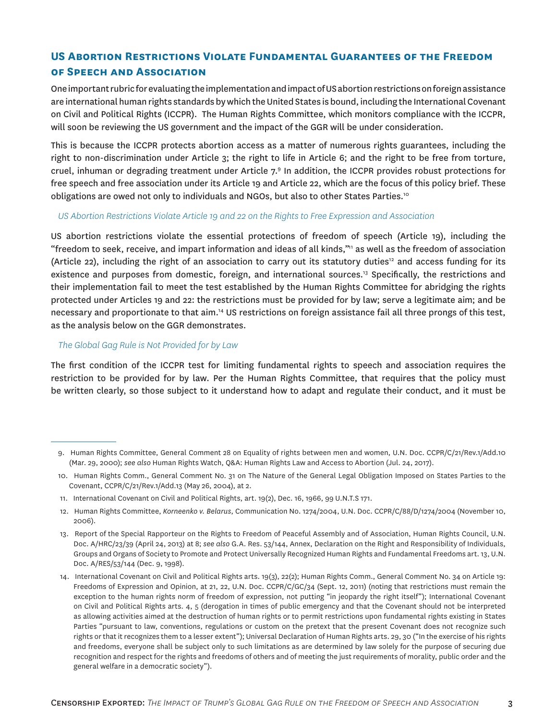# **US Abortion Restrictions Violate Fundamental Guarantees of the Freedom of Speech and Association**

One important rubric for evaluating the implementation and impact of US abortion restrictions on foreign assistance are international human rights standards by which the United States is bound, including the International Covenant on Civil and Political Rights (ICCPR). The Human Rights Committee, which monitors compliance with the ICCPR, will soon be reviewing the US government and the impact of the GGR will be under consideration.

This is because the ICCPR protects abortion access as a matter of numerous rights guarantees, including the right to non-discrimination under Article 3; the right to life in Article 6; and the right to be free from torture, cruel, inhuman or degrading treatment under Article 7.<sup>9</sup> In addition, the ICCPR provides robust protections for free speech and free association under its Article 19 and Article 22, which are the focus of this policy brief. These obligations are owed not only to individuals and NGOs, but also to other States Parties.<sup>10</sup>

#### *US Abortion Restrictions Violate Article 19 and 22 on the Rights to Free Expression and Association*

US abortion restrictions violate the essential protections of freedom of speech (Article 19), including the "freedom to seek, receive, and impart information and ideas of all kinds,"<sup>1</sup> as well as the freedom of association (Article 22), including the right of an association to carry out its statutory duties<sup>12</sup> and access funding for its existence and purposes from domestic, foreign, and international sources.<sup>13</sup> Specifically, the restrictions and their implementation fail to meet the test established by the Human Rights Committee for abridging the rights protected under Articles 19 and 22: the restrictions must be provided for by law; serve a legitimate aim; and be necessary and proportionate to that aim.<sup>14</sup> US restrictions on foreign assistance fail all three prongs of this test, as the analysis below on the GGR demonstrates.

#### *The Global Gag Rule is Not Provided for by Law*

The first condition of the ICCPR test for limiting fundamental rights to speech and association requires the restriction to be provided for by law. Per the Human Rights Committee, that requires that the policy must be written clearly, so those subject to it understand how to adapt and regulate their conduct, and it must be

<sup>9.</sup> Human Rights Committee, General Comment 28 on Equality of rights between men and women, U.N. Doc. CCPR/C/21/Rev.1/Add.10 (Mar. 29, 2000); *see also* Human Rights Watch, Q&A: Human Rights Law and Access to Abortion (Jul. 24, 2017).

<sup>10.</sup> Human Rights Comm., General Comment No. 31 on The Nature of the General Legal Obligation Imposed on States Parties to the Covenant, CCPR/C/21/Rev.1/Add.13 (May 26, 2004), at 2.

<sup>11.</sup> International Covenant on Civil and Political Rights, art. 19(2), Dec. 16, 1966, 99 U.N.T.S 171.

<sup>12.</sup> Human Rights Committee, *Korneenko v. Belarus*, Communication No. 1274/2004, U.N. Doc. CCPR/C/88/D/1274/2004 (November 10, 2006).

<sup>13.</sup> Report of the Special Rapporteur on the Rights to Freedom of Peaceful Assembly and of Association, Human Rights Council, U.N. Doc. A/HRC/23/39 (April 24, 2013) at 8; *see also* G.A. Res. 53/144, Annex, Declaration on the Right and Responsibility of Individuals, Groups and Organs of Society to Promote and Protect Universally Recognized Human Rights and Fundamental Freedoms art. 13, U.N. Doc. A/RES/53/144 (Dec. 9, 1998).

<sup>14.</sup> International Covenant on Civil and Political Rights arts. 19(3), 22(2); Human Rights Comm., General Comment No. 34 on Article 19: Freedoms of Expression and Opinion, at 21, 22, U.N. Doc. CCPR/C/GC/34 (Sept. 12, 2011) (noting that restrictions must remain the exception to the human rights norm of freedom of expression, not putting "in jeopardy the right itself"); International Covenant on Civil and Political Rights arts. 4, 5 (derogation in times of public emergency and that the Covenant should not be interpreted as allowing activities aimed at the destruction of human rights or to permit restrictions upon fundamental rights existing in States Parties "pursuant to law, conventions, regulations or custom on the pretext that the present Covenant does not recognize such rights or that it recognizes them to a lesser extent"); Universal Declaration of Human Rights arts. 29, 30 ("In the exercise of his rights and freedoms, everyone shall be subject only to such limitations as are determined by law solely for the purpose of securing due recognition and respect for the rights and freedoms of others and of meeting the just requirements of morality, public order and the general welfare in a democratic society").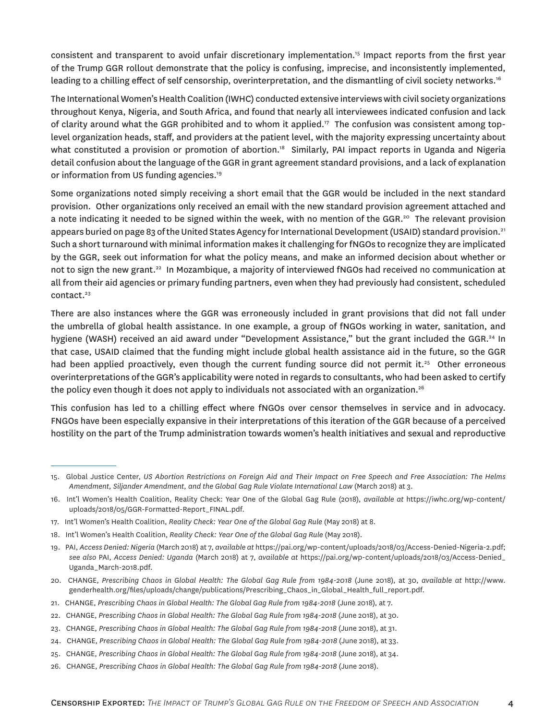consistent and transparent to avoid unfair discretionary implementation.<sup>15</sup> Impact reports from the first year of the Trump GGR rollout demonstrate that the policy is confusing, imprecise, and inconsistently implemented, leading to a chilling effect of self censorship, overinterpretation, and the dismantling of civil society networks.<sup>16</sup>

The International Women's Health Coalition (IWHC) conducted extensive interviews with civil society organizations throughout Kenya, Nigeria, and South Africa, and found that nearly all interviewees indicated confusion and lack of clarity around what the GGR prohibited and to whom it applied.<sup>17</sup> The confusion was consistent among toplevel organization heads, staff, and providers at the patient level, with the majority expressing uncertainty about what constituted a provision or promotion of abortion.<sup>18</sup> Similarly, PAI impact reports in Uganda and Nigeria detail confusion about the language of the GGR in grant agreement standard provisions, and a lack of explanation or information from US funding agencies.<sup>19</sup>

Some organizations noted simply receiving a short email that the GGR would be included in the next standard provision. Other organizations only received an email with the new standard provision agreement attached and a note indicating it needed to be signed within the week, with no mention of the GGR.<sup>20</sup> The relevant provision appears buried on page 83 of the United States Agency for International Development (USAID) standard provision.<sup>21</sup> Such a short turnaround with minimal information makes it challenging for fNGOs to recognize they are implicated by the GGR, seek out information for what the policy means, and make an informed decision about whether or not to sign the new grant.<sup>22</sup> In Mozambique, a majority of interviewed fNGOs had received no communication at all from their aid agencies or primary funding partners, even when they had previously had consistent, scheduled contact.<sup>23</sup>

There are also instances where the GGR was erroneously included in grant provisions that did not fall under the umbrella of global health assistance. In one example, a group of fNGOs working in water, sanitation, and hygiene (WASH) received an aid award under "Development Assistance," but the grant included the GGR.<sup>24</sup> In that case, USAID claimed that the funding might include global health assistance aid in the future, so the GGR had been applied proactively, even though the current funding source did not permit it.<sup>25</sup> Other erroneous overinterpretations of the GGR's applicability were noted in regards to consultants, who had been asked to certify the policy even though it does not apply to individuals not associated with an organization.<sup>26</sup>

This confusion has led to a chilling effect where fNGOs over censor themselves in service and in advocacy. FNGOs have been especially expansive in their interpretations of this iteration of the GGR because of a perceived hostility on the part of the Trump administration towards women's health initiatives and sexual and reproductive

20. CHANGE, *Prescribing Chaos in Global Health: The Global Gag Rule from 1984-2018* (June 2018), at 30, *available at* [http://www.](http://www.genderhealth.org/files/uploads/change/publications/Prescribing_Chaos_in_Global_Health_full_report.pdf) [genderhealth.org/files/uploads/change/publications/Prescribing\\_Chaos\\_in\\_Global\\_Health\\_full\\_report.pdf](http://www.genderhealth.org/files/uploads/change/publications/Prescribing_Chaos_in_Global_Health_full_report.pdf).

<sup>15.</sup> Global Justice Center, *US Abortion Restrictions on Foreign Aid and Their Impact on Free Speech and Free Association: The Helms Amendment, Siljander Amendment, and the Global Gag Rule Violate International Law* (March 2018) at 3.

<sup>16.</sup> Int'l Women's Health Coalition, Reality Check: Year One of the Global Gag Rule (2018), *available at* [https://iwhc.org/wp-content/](https://iwhc.org/wp-content/uploads/2018/05/GGR-Formatted-Report_FINAL.pdf) [uploads/2018/05/GGR-Formatted-Report\\_FINAL.pdf](https://iwhc.org/wp-content/uploads/2018/05/GGR-Formatted-Report_FINAL.pdf).

<sup>17.</sup> Int'l Women's Health Coalition, *Reality Check: Year One of the Global Gag Rule* (May 2018) at 8.

<sup>18.</sup> Int'l Women's Health Coalition, *Reality Check: Year One of the Global Gag Rule* (May 2018).

<sup>19.</sup> PAI, *Access Denied: Nigeria* (March 2018) at 7, *available at* <https://pai.org/wp-content/uploads/2018/03/Access-Denied-Nigeria-2.pdf>; *see also* PAI, *Access Denied: Uganda* (March 2018) at 7, *available at* [https://pai.org/wp-content/uploads/2018/03/Access-Denied\\_](https://pai.org/wp-content/uploads/2018/03/Access-Denied_Uganda_March-2018.pdf) [Uganda\\_March-2018.pdf](https://pai.org/wp-content/uploads/2018/03/Access-Denied_Uganda_March-2018.pdf).

<sup>21.</sup> CHANGE, *Prescribing Chaos in Global Health: The Global Gag Rule from 1984-2018* (June 2018), at 7.

<sup>22.</sup> CHANGE, *Prescribing Chaos in Global Health: The Global Gag Rule from 1984-2018* (June 2018), at 30.

<sup>23.</sup> CHANGE, *Prescribing Chaos in Global Health: The Global Gag Rule from 1984-2018* (June 2018), at 31.

<sup>24.</sup> CHANGE, *Prescribing Chaos in Global Health: The Global Gag Rule from 1984-2018* (June 2018), at 33.

<sup>25.</sup> CHANGE, *Prescribing Chaos in Global Health: The Global Gag Rule from 1984-2018* (June 2018), at 34.

<sup>26.</sup> CHANGE, *Prescribing Chaos in Global Health: The Global Gag Rule from 1984-2018* (June 2018).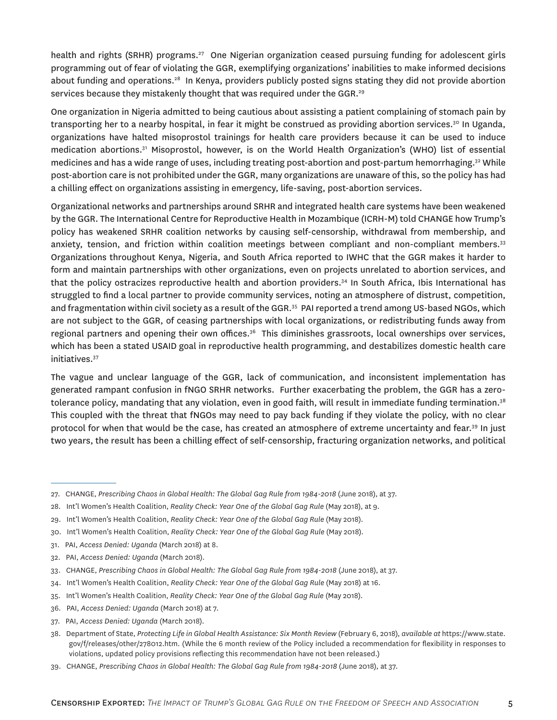health and rights (SRHR) programs.<sup>27</sup> One Nigerian organization ceased pursuing funding for adolescent girls programming out of fear of violating the GGR, exemplifying organizations' inabilities to make informed decisions about funding and operations.<sup>28</sup> In Kenya, providers publicly posted signs stating they did not provide abortion services because they mistakenly thought that was required under the GGR.<sup>29</sup>

One organization in Nigeria admitted to being cautious about assisting a patient complaining of stomach pain by transporting her to a nearby hospital, in fear it might be construed as providing abortion services.<sup>30</sup> In Uganda, organizations have halted misoprostol trainings for health care providers because it can be used to induce medication abortions.<sup>31</sup> Misoprostol, however, is on the World Health Organization's (WHO) list of essential medicines and has a wide range of uses, including treating post-abortion and post-partum hemorrhaging.<sup>32</sup> While post-abortion care is not prohibited under the GGR, many organizations are unaware of this, so the policy has had a chilling effect on organizations assisting in emergency, life-saving, post-abortion services.

Organizational networks and partnerships around SRHR and integrated health care systems have been weakened by the GGR. The International Centre for Reproductive Health in Mozambique (ICRH-M) told CHANGE how Trump's policy has weakened SRHR coalition networks by causing self-censorship, withdrawal from membership, and anxiety, tension, and friction within coalition meetings between compliant and non-compliant members.<sup>33</sup> Organizations throughout Kenya, Nigeria, and South Africa reported to IWHC that the GGR makes it harder to form and maintain partnerships with other organizations, even on projects unrelated to abortion services, and that the policy ostracizes reproductive health and abortion providers.<sup>34</sup> In South Africa, Ibis International has struggled to find a local partner to provide community services, noting an atmosphere of distrust, competition, and fragmentation within civil society as a result of the GGR.<sup>35</sup> PAI reported a trend among US-based NGOs, which are not subject to the GGR, of ceasing partnerships with local organizations, or redistributing funds away from regional partners and opening their own offices.<sup>36</sup> This diminishes grassroots, local ownerships over services, which has been a stated USAID goal in reproductive health programming, and destabilizes domestic health care initiatives.<sup>37</sup>

The vague and unclear language of the GGR, lack of communication, and inconsistent implementation has generated rampant confusion in fNGO SRHR networks. Further exacerbating the problem, the GGR has a zerotolerance policy, mandating that any violation, even in good faith, will result in immediate funding termination.<sup>38</sup> This coupled with the threat that fNGOs may need to pay back funding if they violate the policy, with no clear protocol for when that would be the case, has created an atmosphere of extreme uncertainty and fear.<sup>39</sup> In just two years, the result has been a chilling effect of self-censorship, fracturing organization networks, and political

- 32. PAI, *Access Denied: Uganda* (March 2018).
- 33. CHANGE, *Prescribing Chaos in Global Health: The Global Gag Rule from 1984-2018* (June 2018), at 37.
- 34. Int'l Women's Health Coalition, *Reality Check: Year One of the Global Gag Rule* (May 2018) at 16.
- 35. Int'l Women's Health Coalition, *Reality Check: Year One of the Global Gag Rule* (May 2018).
- 36. PAI, *Access Denied: Uganda* (March 2018) at 7.
- 37. PAI, *Access Denied: Uganda* (March 2018).
- 38. Department of State, *Protecting Life in Global Health Assistance: Six Month Review* (February 6, 2018), *available at* [https://www.state.](https://www.state.gov/f/releases/other/278012.htm) [gov/f/releases/other/278012.htm](https://www.state.gov/f/releases/other/278012.htm). (While the 6 month review of the Policy included a recommendation for flexibility in responses to violations, updated policy provisions reflecting this recommendation have not been released.)
- 39. CHANGE, *Prescribing Chaos in Global Health: The Global Gag Rule from 1984-2018* (June 2018), at 37.

<sup>27.</sup> CHANGE, *Prescribing Chaos in Global Health: The Global Gag Rule from 1984-2018* (June 2018), at 37.

<sup>28.</sup> Int'l Women's Health Coalition, *Reality Check: Year One of the Global Gag Rule* (May 2018), at 9.

<sup>29.</sup> Int'l Women's Health Coalition, *Reality Check: Year One of the Global Gag Rule* (May 2018).

<sup>30.</sup> Int'l Women's Health Coalition, *Reality Check: Year One of the Global Gag Rule* (May 2018).

<sup>31.</sup> PAI, *Access Denied: Uganda* (March 2018) at 8.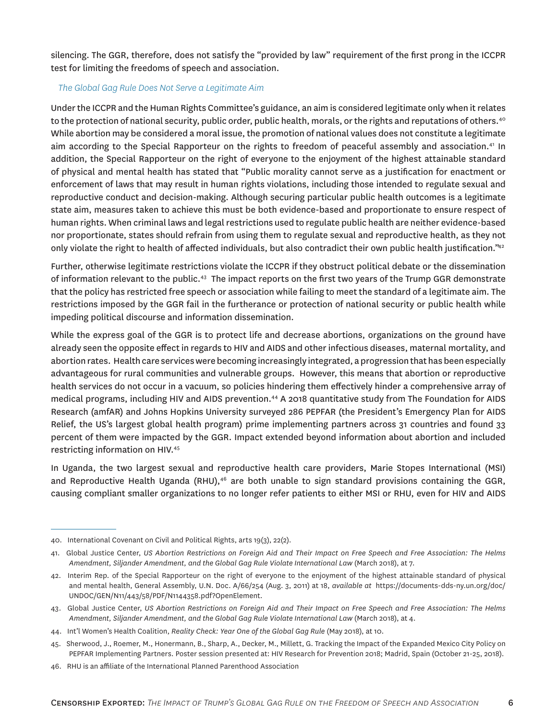silencing. The GGR, therefore, does not satisfy the "provided by law" requirement of the first prong in the ICCPR test for limiting the freedoms of speech and association.

### *The Global Gag Rule Does Not Serve a Legitimate Aim*

Under the ICCPR and the Human Rights Committee's guidance, an aim is considered legitimate only when it relates to the protection of national security, public order, public health, morals, or the rights and reputations of others.<sup>40</sup> While abortion may be considered a moral issue, the promotion of national values does not constitute a legitimate aim according to the Special Rapporteur on the rights to freedom of peaceful assembly and association.<sup>41</sup> In addition, the Special Rapporteur on the right of everyone to the enjoyment of the highest attainable standard of physical and mental health has stated that "Public morality cannot serve as a justification for enactment or enforcement of laws that may result in human rights violations, including those intended to regulate sexual and reproductive conduct and decision-making. Although securing particular public health outcomes is a legitimate state aim, measures taken to achieve this must be both evidence-based and proportionate to ensure respect of human rights. When criminal laws and legal restrictions used to regulate public health are neither evidence-based nor proportionate, states should refrain from using them to regulate sexual and reproductive health, as they not only violate the right to health of affected individuals, but also contradict their own public health justification."42

Further, otherwise legitimate restrictions violate the ICCPR if they obstruct political debate or the dissemination of information relevant to the public.<sup>43</sup> The impact reports on the first two years of the Trump GGR demonstrate that the policy has restricted free speech or association while failing to meet the standard of a legitimate aim. The restrictions imposed by the GGR fail in the furtherance or protection of national security or public health while impeding political discourse and information dissemination.

While the express goal of the GGR is to protect life and decrease abortions, organizations on the ground have already seen the opposite effect in regards to HIV and AIDS and other infectious diseases, maternal mortality, and abortion rates. Health care services were becoming increasingly integrated, a progression that has been especially advantageous for rural communities and vulnerable groups. However, this means that abortion or reproductive health services do not occur in a vacuum, so policies hindering them effectively hinder a comprehensive array of medical programs, including HIV and AIDS prevention.<sup>44</sup> A 2018 quantitative study from The Foundation for AIDS Research (amfAR) and Johns Hopkins University surveyed 286 PEPFAR (the President's Emergency Plan for AIDS Relief, the US's largest global health program) prime implementing partners across 31 countries and found 33 percent of them were impacted by the GGR. Impact extended beyond information about abortion and included restricting information on HIV.<sup>45</sup>

In Uganda, the two largest sexual and reproductive health care providers, Marie Stopes International (MSI) and Reproductive Health Uganda (RHU),<sup>46</sup> are both unable to sign standard provisions containing the GGR, causing compliant smaller organizations to no longer refer patients to either MSI or RHU, even for HIV and AIDS

<sup>40.</sup> International Covenant on Civil and Political Rights, arts 19(3), 22(2).

<sup>41.</sup> Global Justice Center, *US Abortion Restrictions on Foreign Aid and Their Impact on Free Speech and Free Association: The Helms Amendment, Siljander Amendment, and the Global Gag Rule Violate International Law* (March 2018), at 7.

<sup>42.</sup> Interim Rep. of the Special Rapporteur on the right of everyone to the enjoyment of the highest attainable standard of physical and mental health, General Assembly, U.N. Doc. A/66/254 (Aug. 3, 2011) at 18, *available at* [https://documents-dds-ny.un.org/doc/](https://documents-dds-ny.un.org/doc/UNDOC/GEN/N11/443/58/PDF/N1144358.pdf?OpenElement) [UNDOC/GEN/N11/443/58/PDF/N1144358.pdf?OpenElement](https://documents-dds-ny.un.org/doc/UNDOC/GEN/N11/443/58/PDF/N1144358.pdf?OpenElement).

<sup>43.</sup> Global Justice Center, *US Abortion Restrictions on Foreign Aid and Their Impact on Free Speech and Free Association: The Helms Amendment, Siljander Amendment, and the Global Gag Rule Violate International Law* (March 2018), at 4.

<sup>44.</sup> Int'l Women's Health Coalition, *Reality Check: Year One of the Global Gag Rule* (May 2018), at 10.

<sup>45.</sup> Sherwood, J., Roemer, M., Honermann, B., Sharp, A., Decker, M., Millett, G. Tracking the Impact of the Expanded Mexico City Policy on PEPFAR Implementing Partners. Poster session presented at: HIV Research for Prevention 2018; Madrid, Spain (October 21-25, 2018).

<sup>46.</sup> RHU is an affiliate of the International Planned Parenthood Association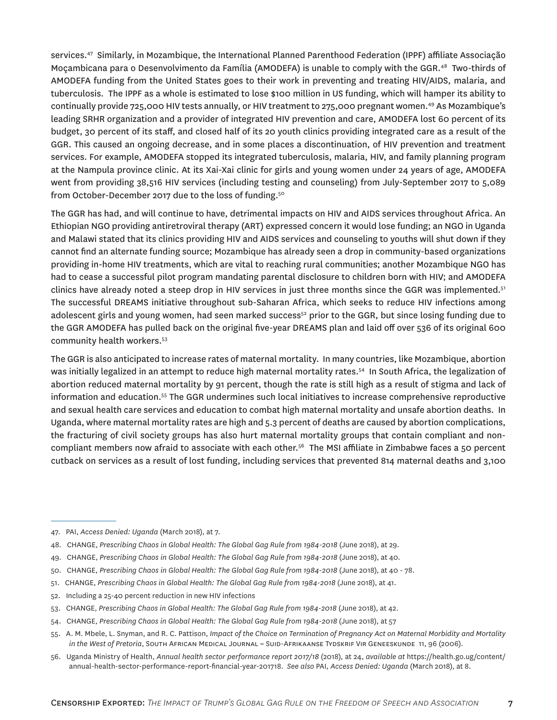services.<sup>47</sup> Similarly, in Mozambique, the International Planned Parenthood Federation (IPPF) affiliate Associação Moçambicana para o Desenvolvimento da Família (AMODEFA) is unable to comply with the GGR.<sup>48</sup> Two-thirds of AMODEFA funding from the United States goes to their work in preventing and treating HIV/AIDS, malaria, and tuberculosis. The IPPF as a whole is estimated to lose \$100 million in US funding, which will hamper its ability to continually provide 725,000 HIV tests annually, or HIV treatment to 275,000 pregnant women.<sup>49</sup> As Mozambique's leading SRHR organization and a provider of integrated HIV prevention and care, AMODEFA lost 60 percent of its budget, 30 percent of its staff, and closed half of its 20 youth clinics providing integrated care as a result of the GGR. This caused an ongoing decrease, and in some places a discontinuation, of HIV prevention and treatment services. For example, AMODEFA stopped its integrated tuberculosis, malaria, HIV, and family planning program at the Nampula province clinic. At its Xai-Xai clinic for girls and young women under 24 years of age, AMODEFA went from providing 38,516 HIV services (including testing and counseling) from July-September 2017 to 5,089 from October-December 2017 due to the loss of funding.<sup>50</sup>

The GGR has had, and will continue to have, detrimental impacts on HIV and AIDS services throughout Africa. An Ethiopian NGO providing antiretroviral therapy (ART) expressed concern it would lose funding; an NGO in Uganda and Malawi stated that its clinics providing HIV and AIDS services and counseling to youths will shut down if they cannot find an alternate funding source; Mozambique has already seen a drop in community-based organizations providing in-home HIV treatments, which are vital to reaching rural communities; another Mozambique NGO has had to cease a successful pilot program mandating parental disclosure to children born with HIV; and AMODEFA clinics have already noted a steep drop in HIV services in just three months since the GGR was implemented.<sup>51</sup> The successful DREAMS initiative throughout sub-Saharan Africa, which seeks to reduce HIV infections among adolescent girls and young women, had seen marked success<sup>52</sup> prior to the GGR, but since losing funding due to the GGR AMODEFA has pulled back on the original five-year DREAMS plan and laid off over 536 of its original 600 community health workers.<sup>53</sup>

The GGR is also anticipated to increase rates of maternal mortality. In many countries, like Mozambique, abortion was initially legalized in an attempt to reduce high maternal mortality rates.<sup>54</sup> In South Africa, the legalization of abortion reduced maternal mortality by 91 percent, though the rate is still high as a result of stigma and lack of information and education.<sup>55</sup> The GGR undermines such local initiatives to increase comprehensive reproductive and sexual health care services and education to combat high maternal mortality and unsafe abortion deaths. In Uganda, where maternal mortality rates are high and 5.3 percent of deaths are caused by abortion complications, the fracturing of civil society groups has also hurt maternal mortality groups that contain compliant and noncompliant members now afraid to associate with each other.<sup>56</sup> The MSI affiliate in Zimbabwe faces a 50 percent cutback on services as a result of lost funding, including services that prevented 814 maternal deaths and 3,100

- 52. Including a 25-40 percent reduction in new HIV infections
- 53. CHANGE, *Prescribing Chaos in Global Health: The Global Gag Rule from 1984-2018* (June 2018), at 42.
- 54. CHANGE, *Prescribing Chaos in Global Health: The Global Gag Rule from 1984-2018* (June 2018), at 57
- 55. A. M. Mbele, L. Snyman, and R. C. Pattison, *Impact of the Choice on Termination of Pregnancy Act on Maternal Morbidity and Mortality in the West of Pretoria*, South African Medical Journal = Suid-Afrikaanse Tydskrif Vir Geneeskunde 11, 96 (2006).
- 56. Uganda Ministry of Health, *Annual health sector performance report 2017/18* (2018), at 24, *available at* [https://health.go.ug/content/](https://health.go.ug/content/annual-health-sector-performance-report-financial-year-201718) [annual-health-sector-performance-report-financial-year-201718](https://health.go.ug/content/annual-health-sector-performance-report-financial-year-201718). *See also* PAI, *Access Denied: Uganda* (March 2018), at 8.

<sup>47.</sup> PAI, *Access Denied: Uganda* (March 2018), at 7.

<sup>48.</sup> CHANGE, *Prescribing Chaos in Global Health: The Global Gag Rule from 1984-2018* (June 2018), at 29.

<sup>49.</sup> CHANGE, *Prescribing Chaos in Global Health: The Global Gag Rule from 1984-2018* (June 2018), at 40.

<sup>50.</sup> CHANGE, *Prescribing Chaos in Global Health: The Global Gag Rule from 1984-2018* (June 2018), at 40 - 78.

<sup>51.</sup> CHANGE, *Prescribing Chaos in Global Health: The Global Gag Rule from 1984-2018* (June 2018), at 41.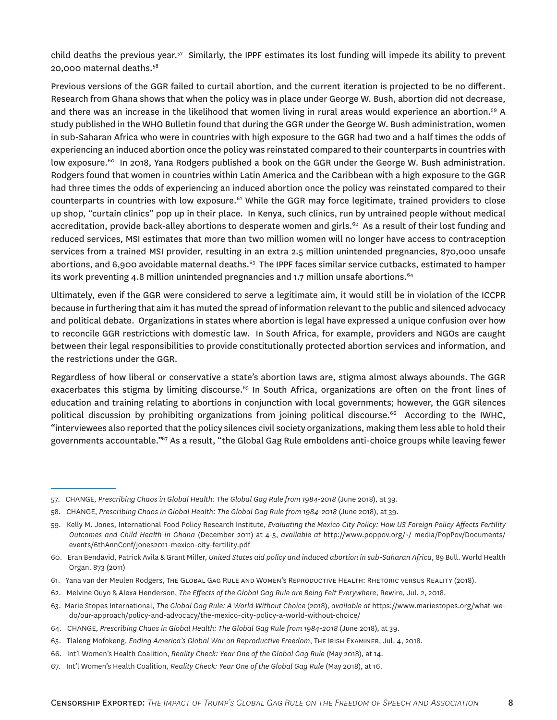child deaths the previous year.<sup>57</sup> Similarly, the IPPF estimates its lost funding will impede its ability to prevent 20,000 maternal deaths.<sup>58</sup>

Previous versions of the GGR failed to curtail abortion, and the current iteration is projected to be no different. Research from Ghana shows that when the policy was in place under George W. Bush, abortion did not decrease, and there was an increase in the likelihood that women living in rural areas would experience an abortion.<sup>59</sup> A study published in the WHO Bulletin found that during the GGR under the George W. Bush administration, women in sub-Saharan Africa who were in countries with high exposure to the GGR had two and a half times the odds of experiencing an induced abortion once the policy was reinstated compared to their counterparts in countries with low exposure.<sup>60</sup> In 2018, Yana Rodgers published a book on the GGR under the George W. Bush administration. Rodgers found that women in countries within Latin America and the Caribbean with a high exposure to the GGR had three times the odds of experiencing an induced abortion once the policy was reinstated compared to their counterparts in countries with low exposure.<sup>61</sup> While the GGR may force legitimate, trained providers to close up shop, "curtain clinics" pop up in their place. In Kenya, such clinics, run by untrained people without medical accreditation, provide back-alley abortions to desperate women and girls.<sup>62</sup> As a result of their lost funding and reduced services, MSI estimates that more than two million women will no longer have access to contraception services from a trained MSI provider, resulting in an extra 2.5 million unintended pregnancies, 870,000 unsafe abortions, and 6,900 avoidable maternal deaths.<sup>63</sup> The IPPF faces similar service cutbacks, estimated to hamper its work preventing 4.8 million unintended pregnancies and 1.7 million unsafe abortions. $64$ 

Ultimately, even if the GGR were considered to serve a legitimate aim, it would still be in violation of the ICCPR because in furthering that aim it has muted the spread of information relevant to the public and silenced advocacy and political debate. Organizations in states where abortion is legal have expressed a unique confusion over how to reconcile GGR restrictions with domestic law. In South Africa, for example, providers and NGOs are caught between their legal responsibilities to provide constitutionally protected abortion services and information, and the restrictions under the GGR.

Regardless of how liberal or conservative a state's abortion laws are, stigma almost always abounds. The GGR exacerbates this stigma by limiting discourse.<sup>65</sup> In South Africa, organizations are often on the front lines of education and training relating to abortions in conjunction with local governments; however, the GGR silences political discussion by prohibiting organizations from joining political discourse.<sup>66</sup> According to the IWHC, "interviewees also reported that the policy silences civil society organizations, making them less able to hold their governments accountable."<sup>67</sup> As a result, "the Global Gag Rule emboldens anti-choice groups while leaving fewer

62. Melvine Ouyo & Alexa Henderson, *The Effects of the Global Gag Rule are Being Felt Everywhere*, Rewire, Jul. 2, 2018.

<sup>57.</sup> CHANGE, *Prescribing Chaos in Global Health: The Global Gag Rule from 1984-2018* (June 2018), at 39.

<sup>58.</sup> CHANGE, *Prescribing Chaos in Global Health: The Global Gag Rule from 1984-2018* (June 2018), at 39.

<sup>59.</sup> Kelly M. Jones, International Food Policy Research Institute, *Evaluating the Mexico City Policy: How US Foreign Policy Affects Fertility Outcomes and Child Health in Ghana* (December 2011) at 4-5, *available at* http://www.poppov.org/~/ media/PopPov/Documents/ events/6thAnnConf/jones2011-mexico-city-fertility.pdf

<sup>60.</sup> Eran Bendavid, Patrick Avila & Grant Miller, *United States aid policy and induced abortion in sub-Saharan Africa*, 89 Bull. World Health Organ. 873 (2011)

<sup>61.</sup> Yana van der Meulen Rodgers, The Global Gag Rule and Women's Reproductive Health: Rhetoric versus Reality (2018).

<sup>63.</sup> Marie Stopes International, *The Global Gag Rule: A World Without Choice* (2018), *available at* [https://www.mariestopes.org/what-we](https://www.mariestopes.org/what-we-do/our-approach/policy-and-advocacy/the-mexico-city-policy-a-world-without-choice/)[do/our-approach/policy-and-advocacy/the-mexico-city-policy-a-world-without-choice/](https://www.mariestopes.org/what-we-do/our-approach/policy-and-advocacy/the-mexico-city-policy-a-world-without-choice/)

<sup>64.</sup> CHANGE, *Prescribing Chaos in Global Health: The Global Gag Rule from 1984-2018* (June 2018), at 39.

<sup>65.</sup> Tlaleng Mofokeng, *Ending America's Global War on Reproductive Freedom*, The Irish Examiner, Jul. 4, 2018.

<sup>66.</sup> Int'l Women's Health Coalition, *Reality Check: Year One of the Global Gag Rule* (May 2018), at 14.

<sup>67.</sup> Int'l Women's Health Coalition, *Reality Check: Year One of the Global Gag Rule* (May 2018), at 16.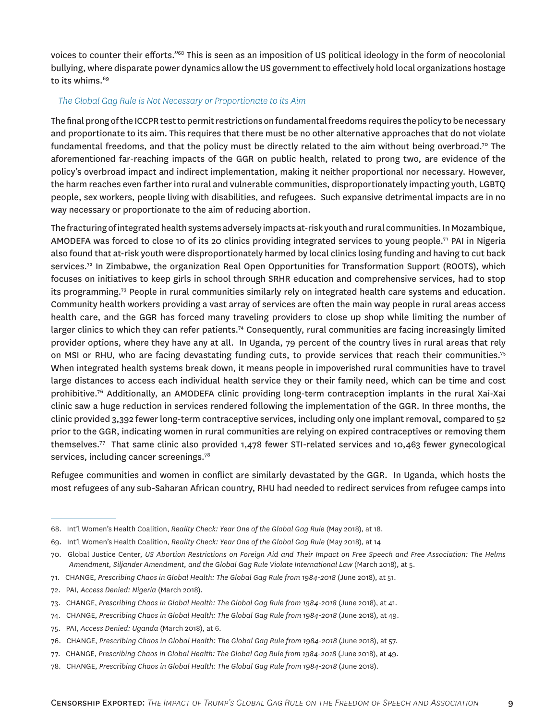voices to counter their efforts."<sup>68</sup> This is seen as an imposition of US political ideology in the form of neocolonial bullying, where disparate power dynamics allow the US government to effectively hold local organizations hostage to its whims.<sup>69</sup>

### *The Global Gag Rule is Not Necessary or Proportionate to its Aim*

The final prong of the ICCPR test to permit restrictions on fundamental freedoms requires the policy to be necessary and proportionate to its aim. This requires that there must be no other alternative approaches that do not violate fundamental freedoms, and that the policy must be directly related to the aim without being overbroad.<sup>70</sup> The aforementioned far-reaching impacts of the GGR on public health, related to prong two, are evidence of the policy's overbroad impact and indirect implementation, making it neither proportional nor necessary. However, the harm reaches even farther into rural and vulnerable communities, disproportionately impacting youth, LGBTQ people, sex workers, people living with disabilities, and refugees. Such expansive detrimental impacts are in no way necessary or proportionate to the aim of reducing abortion.

The fracturing of integrated health systems adversely impacts at-risk youth and rural communities. In Mozambique, AMODEFA was forced to close 10 of its 20 clinics providing integrated services to young people.<sup>71</sup> PAI in Nigeria also found that at-risk youth were disproportionately harmed by local clinics losing funding and having to cut back services.<sup>72</sup> In Zimbabwe, the organization Real Open Opportunities for Transformation Support (ROOTS), which focuses on initiatives to keep girls in school through SRHR education and comprehensive services, had to stop its programming.<sup>73</sup> People in rural communities similarly rely on integrated health care systems and education. Community health workers providing a vast array of services are often the main way people in rural areas access health care, and the GGR has forced many traveling providers to close up shop while limiting the number of larger clinics to which they can refer patients.<sup>74</sup> Consequently, rural communities are facing increasingly limited provider options, where they have any at all. In Uganda, 79 percent of the country lives in rural areas that rely on MSI or RHU, who are facing devastating funding cuts, to provide services that reach their communities.<sup>75</sup> When integrated health systems break down, it means people in impoverished rural communities have to travel large distances to access each individual health service they or their family need, which can be time and cost prohibitive.<sup>76</sup> Additionally, an AMODEFA clinic providing long-term contraception implants in the rural Xai-Xai clinic saw a huge reduction in services rendered following the implementation of the GGR. In three months, the clinic provided 3,392 fewer long-term contraceptive services, including only one implant removal, compared to 52 prior to the GGR, indicating women in rural communities are relying on expired contraceptives or removing them themselves.<sup>77</sup> That same clinic also provided 1,478 fewer STI-related services and 10,463 fewer gynecological services, including cancer screenings.<sup>78</sup>

Refugee communities and women in conflict are similarly devastated by the GGR. In Uganda, which hosts the most refugees of any sub-Saharan African country, RHU had needed to redirect services from refugee camps into

- 71. CHANGE, *Prescribing Chaos in Global Health: The Global Gag Rule from 1984-2018* (June 2018), at 51.
- 72. PAI, *Access Denied: Nigeria* (March 2018).

- 74. CHANGE, *Prescribing Chaos in Global Health: The Global Gag Rule from 1984-2018* (June 2018), at 49.
- 75. PAI, *Access Denied: Uganda* (March 2018), at 6.
- 76. CHANGE, *Prescribing Chaos in Global Health: The Global Gag Rule from 1984-2018* (June 2018), at 57.
- 77. CHANGE, *Prescribing Chaos in Global Health: The Global Gag Rule from 1984-2018* (June 2018), at 49.
- 78. CHANGE, *Prescribing Chaos in Global Health: The Global Gag Rule from 1984-2018* (June 2018).

<sup>68.</sup> Int'l Women's Health Coalition, *Reality Check: Year One of the Global Gag Rule* (May 2018), at 18.

<sup>69.</sup> Int'l Women's Health Coalition, *Reality Check: Year One of the Global Gag Rule* (May 2018), at 14

<sup>70.</sup> Global Justice Center, *US Abortion Restrictions on Foreign Aid and Their Impact on Free Speech and Free Association: The Helms*  Amendment, Siljander Amendment, and the Global Gag Rule Violate International Law (March 2018), at 5.

<sup>73.</sup> CHANGE, *Prescribing Chaos in Global Health: The Global Gag Rule from 1984-2018* (June 2018), at 41.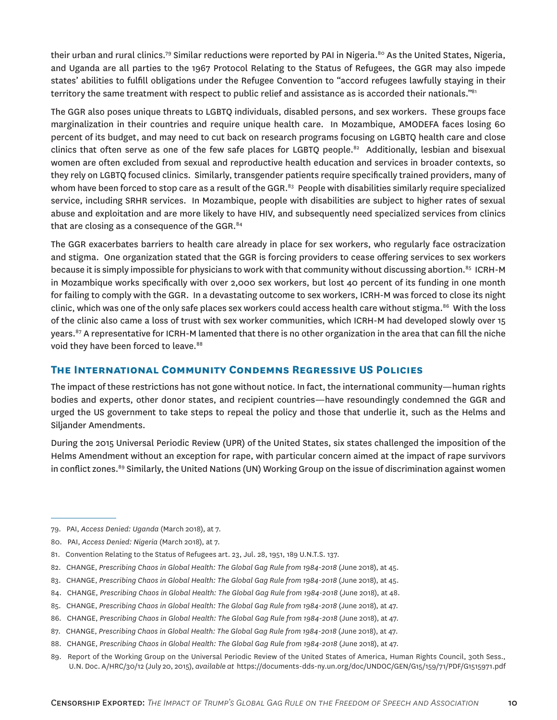their urban and rural clinics.<sup>79</sup> Similar reductions were reported by PAI in Nigeria.<sup>80</sup> As the United States, Nigeria, and Uganda are all parties to the 1967 Protocol Relating to the Status of Refugees, the GGR may also impede states' abilities to fulfill obligations under the Refugee Convention to "accord refugees lawfully staying in their territory the same treatment with respect to public relief and assistance as is accorded their nationals."<sup>81</sup>

The GGR also poses unique threats to LGBTQ individuals, disabled persons, and sex workers. These groups face marginalization in their countries and require unique health care. In Mozambique, AMODEFA faces losing 60 percent of its budget, and may need to cut back on research programs focusing on LGBTQ health care and close clinics that often serve as one of the few safe places for LGBTQ people.<sup>82</sup> Additionally, lesbian and bisexual women are often excluded from sexual and reproductive health education and services in broader contexts, so they rely on LGBTQ focused clinics. Similarly, transgender patients require specifically trained providers, many of whom have been forced to stop care as a result of the GGR. $83$  People with disabilities similarly require specialized service, including SRHR services. In Mozambique, people with disabilities are subject to higher rates of sexual abuse and exploitation and are more likely to have HIV, and subsequently need specialized services from clinics that are closing as a consequence of the GGR.<sup>84</sup>

The GGR exacerbates barriers to health care already in place for sex workers, who regularly face ostracization and stigma. One organization stated that the GGR is forcing providers to cease offering services to sex workers because it is simply impossible for physicians to work with that community without discussing abortion.<sup>85</sup> ICRH-M in Mozambique works specifically with over 2,000 sex workers, but lost 40 percent of its funding in one month for failing to comply with the GGR. In a devastating outcome to sex workers, ICRH-M was forced to close its night clinic, which was one of the only safe places sex workers could access health care without stigma.<sup>86</sup> With the loss of the clinic also came a loss of trust with sex worker communities, which ICRH-M had developed slowly over 15 years.<sup>87</sup> A representative for ICRH-M lamented that there is no other organization in the area that can fill the niche void they have been forced to leave.<sup>88</sup>

# **The International Community Condemns Regressive US Policies**

The impact of these restrictions has not gone without notice. In fact, the international community—human rights bodies and experts, other donor states, and recipient countries—have resoundingly condemned the GGR and urged the US government to take steps to repeal the policy and those that underlie it, such as the Helms and Siljander Amendments.

During the 2015 Universal Periodic Review (UPR) of the United States, six states challenged the imposition of the Helms Amendment without an exception for rape, with particular concern aimed at the impact of rape survivors in conflict zones.<sup>89</sup> Similarly, the United Nations (UN) Working Group on the issue of discrimination against women

<sup>79.</sup> PAI, *Access Denied: Uganda* (March 2018), at 7.

<sup>80.</sup> PAI, *Access Denied: Nigeria* (March 2018), at 7.

<sup>81.</sup> Convention Relating to the Status of Refugees art. 23, Jul. 28, 1951, 189 U.N.T.S. 137.

<sup>82.</sup> CHANGE, *Prescribing Chaos in Global Health: The Global Gag Rule from 1984-2018* (June 2018), at 45.

<sup>83.</sup> CHANGE, *Prescribing Chaos in Global Health: The Global Gag Rule from 1984-2018* (June 2018), at 45.

<sup>84.</sup> CHANGE, *Prescribing Chaos in Global Health: The Global Gag Rule from 1984-2018* (June 2018), at 48.

<sup>85.</sup> CHANGE, *Prescribing Chaos in Global Health: The Global Gag Rule from 1984-2018* (June 2018), at 47.

<sup>86.</sup> CHANGE, *Prescribing Chaos in Global Health: The Global Gag Rule from 1984-2018* (June 2018), at 47.

<sup>87.</sup> CHANGE, *Prescribing Chaos in Global Health: The Global Gag Rule from 1984-2018* (June 2018), at 47.

<sup>88.</sup> CHANGE, *Prescribing Chaos in Global Health: The Global Gag Rule from 1984-2018* (June 2018), at 47.

<sup>89.</sup> Report of the Working Group on the Universal Periodic Review of the United States of America, Human Rights Council, 30th Sess., U.N. Doc. A/HRC/30/12 (July 20, 2015), *available at* [https://documents-dds-ny.un.org/doc/UNDOC/GEN/G15/159/71/PDF/G1515971.pdf](https://documents-dds-ny.un.org/doc/UNDOC/GEN/G15/159/71/PDF/G1515971.pdf?OpenElement)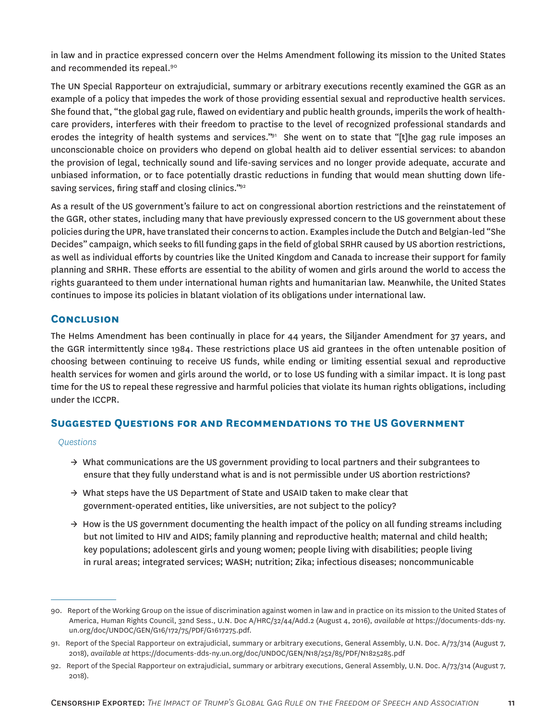in law and in practice expressed concern over the Helms Amendment following its mission to the United States and recommended its repeal.<sup>90</sup>

The UN Special Rapporteur on extrajudicial, summary or arbitrary executions recently examined the GGR as an example of a policy that impedes the work of those providing essential sexual and reproductive health services. She found that, "the global gag rule, flawed on evidentiary and public health grounds, imperils the work of healthcare providers, interferes with their freedom to practise to the level of recognized professional standards and erodes the integrity of health systems and services."<sup>31</sup> She went on to state that "[t]he gag rule imposes an unconscionable choice on providers who depend on global health aid to deliver essential services: to abandon the provision of legal, technically sound and life-saving services and no longer provide adequate, accurate and unbiased information, or to face potentially drastic reductions in funding that would mean shutting down lifesaving services, firing staff and closing clinics."<sup>92</sup>

As a result of the US government's failure to act on congressional abortion restrictions and the reinstatement of the GGR, other states, including many that have previously expressed concern to the US government about these policies during the UPR, have translated their concerns to action. Examples include the Dutch and Belgian-led "She Decides" campaign, which seeks to fill funding gaps in the field of global SRHR caused by US abortion restrictions, as well as individual efforts by countries like the United Kingdom and Canada to increase their support for family planning and SRHR. These efforts are essential to the ability of women and girls around the world to access the rights guaranteed to them under international human rights and humanitarian law. Meanwhile, the United States continues to impose its policies in blatant violation of its obligations under international law.

# **Conclusion**

The Helms Amendment has been continually in place for 44 years, the Siljander Amendment for 37 years, and the GGR intermittently since 1984. These restrictions place US aid grantees in the often untenable position of choosing between continuing to receive US funds, while ending or limiting essential sexual and reproductive health services for women and girls around the world, or to lose US funding with a similar impact. It is long past time for the US to repeal these regressive and harmful policies that violate its human rights obligations, including under the ICCPR.

## **Suggested Questions for and Recommendations to the US Government**

#### *Questions*

- $\rightarrow$  What communications are the US government providing to local partners and their subgrantees to ensure that they fully understand what is and is not permissible under US abortion restrictions?
- $\rightarrow$  What steps have the US Department of State and USAID taken to make clear that government-operated entities, like universities, are not subject to the policy?
- $\rightarrow$  How is the US government documenting the health impact of the policy on all funding streams including but not limited to HIV and AIDS; family planning and reproductive health; maternal and child health; key populations; adolescent girls and young women; people living with disabilities; people living in rural areas; integrated services; WASH; nutrition; Zika; infectious diseases; noncommunicable

<sup>90.</sup> Report of the Working Group on the issue of discrimination against women in law and in practice on its mission to the United States of America, Human Rights Council, 32nd Sess., U.N. Doc A/HRC/32/44/Add.2 (August 4, 2016), *available at* [https://documents-dds-ny.](https://documents-dds-ny.un.org/doc/UNDOC/GEN/G16/172/75/PDF/G1617275.pdf?OpenElement) [un.org/doc/UNDOC/GEN/G16/172/75/PDF/G1617275.pdf](https://documents-dds-ny.un.org/doc/UNDOC/GEN/G16/172/75/PDF/G1617275.pdf?OpenElement).

<sup>91.</sup> Report of the Special Rapporteur on extrajudicial, summary or arbitrary executions, General Assembly, U.N. Doc. A/73/314 (August 7, 2018), *available at* [https://documents-dds-ny.un.org/doc/UNDOC/GEN/N18/252/85/PDF/N1825285.pdf](https://documents-dds-ny.un.org/doc/UNDOC/GEN/N18/252/85/PDF/N1825285.pdf?OpenElement)

<sup>92.</sup> Report of the Special Rapporteur on extrajudicial, summary or arbitrary executions, General Assembly, U.N. Doc. A/73/314 (August 7, 2018).